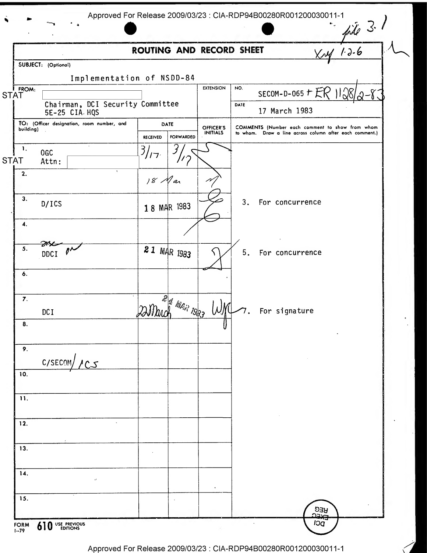|                                                         | ROUTING AND RECORD SHEET                    |                              |                       |                                                                                                            |            | $x+y=3.1$<br>$x+y=6$ |
|---------------------------------------------------------|---------------------------------------------|------------------------------|-----------------------|------------------------------------------------------------------------------------------------------------|------------|----------------------|
| SUBJECT: (Optional)                                     |                                             |                              |                       |                                                                                                            |            |                      |
|                                                         |                                             |                              |                       |                                                                                                            |            |                      |
|                                                         | Implementation of NSDD-84                   | <b>EXTENSION</b>             | NO.                   |                                                                                                            |            |                      |
| STAT                                                    |                                             |                              |                       | SECOM-D-065 $\tau$ ER                                                                                      |            | 11,781               |
| 5E-25 CIA. HQS                                          | Chairman, DCI Security Committee            |                              | DATE<br>17 March 1983 |                                                                                                            |            |                      |
| TO: (Officer designation, room number, and<br>building) | DATE<br><b>FORWARDED</b><br><b>RECEIVED</b> | OFFICER'S<br><b>INITIALS</b> |                       | COMMENTS (Number each comment to show from whom<br>to whom. Draw a line across column after each comment.) |            |                      |
| 1.                                                      |                                             |                              |                       |                                                                                                            |            |                      |
| <b>OGC</b><br><b>STAT</b><br>Attn:                      | 3/17                                        |                              |                       |                                                                                                            |            |                      |
| ٠<br>2.                                                 | 18 Mar                                      |                              |                       |                                                                                                            |            |                      |
|                                                         |                                             |                              |                       |                                                                                                            |            |                      |
| 3.<br>D/ICS                                             | 18 MAR 1983                                 |                              | 3.                    | For concurrence                                                                                            |            |                      |
| 4.                                                      |                                             |                              |                       |                                                                                                            |            |                      |
| 5.                                                      |                                             |                              |                       |                                                                                                            |            |                      |
| DDCI                                                    | 21 MAR 1983                                 |                              | 5.                    | For concurrence                                                                                            |            |                      |
| 6.                                                      |                                             |                              |                       |                                                                                                            |            |                      |
|                                                         |                                             |                              |                       |                                                                                                            |            |                      |
| $\overline{7}$ .<br>DC I                                | <b>PA MAR 1933</b>                          |                              |                       | For signature                                                                                              |            |                      |
| 8.                                                      |                                             |                              |                       |                                                                                                            |            |                      |
| 9.                                                      |                                             |                              |                       |                                                                                                            |            |                      |
| C/SECOM/ICS                                             |                                             |                              |                       |                                                                                                            |            |                      |
| 10.                                                     |                                             |                              |                       |                                                                                                            |            |                      |
|                                                         |                                             |                              |                       |                                                                                                            |            |                      |
| 11.                                                     |                                             |                              |                       |                                                                                                            |            |                      |
| 12.                                                     |                                             |                              |                       |                                                                                                            |            |                      |
|                                                         |                                             |                              |                       |                                                                                                            |            |                      |
| 13.                                                     |                                             |                              |                       |                                                                                                            |            |                      |
| 14.                                                     |                                             |                              |                       |                                                                                                            |            |                      |
| $\Omega$                                                |                                             |                              |                       |                                                                                                            |            |                      |
| 15.                                                     |                                             |                              |                       |                                                                                                            |            |                      |
|                                                         |                                             |                              |                       |                                                                                                            | REG<br>صدد |                      |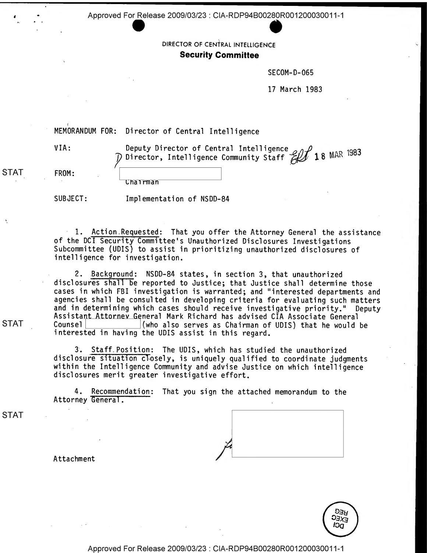DIRECTOR OF CENTRAL INTELLIGENCE **Security Committee** 

**SECOM-D-065** 

17 March 1983

MEMORANDUM FOR: Director of Central Intelligence

VIA:

Deputy Director of Central Intelligence  $\rho_{\alpha} \rho_{\beta}$ Director, Intelligence Community Staff  $\mathscr{L}$  18 MAR 1983

STAT FROM:

lairman

SUBJECT: Implementation of NSDD-84

1. Action Requested: That you offer the Attorney General the assistance of the DCI Security Committee' <sup>s</sup> Unauthorized Disclosures Investigations Subcommittee (UDIS) to assist in prioritizing unauthorized disclosures of intelligence for investigation.

2. Background: NSDD-84 states, in section 3, that unauthorized disclosures shall be reported to Justice; that Justice shall determine those cases in which FBI investigation is warranted; and "interested departments and agencies shall be consulted in developing criteria for evaluating such matters and in determining which cases should receive investigative priority." Deputy Assistant Attorney General Mark Richard has advised CIA Associate General<br>Counsell (who also serves as Chairman of UDIS) that he would STAT Counsel (who also serves as Chairman of UDIS) that he would be interested in having the UDIS assist in this regard.

> 3. Staff Position: The UDIS, which has studied the unauthorized disclosure situation closely, is uniquely qualified to coordinate judgments within the Intelligence Community and advise Justice on which intelligence disclosures merit greater investigative effort.

4. Recommendation: That you sign the attached memorandum to the Attorney General



**AEG**  $5^{22}_{3}$ <br> $2^{37}_{3}$ Юa

Attachment

Approved For Release 2009/03/23 : CIA-RDP94B00280R001 20003001 1-1

STAT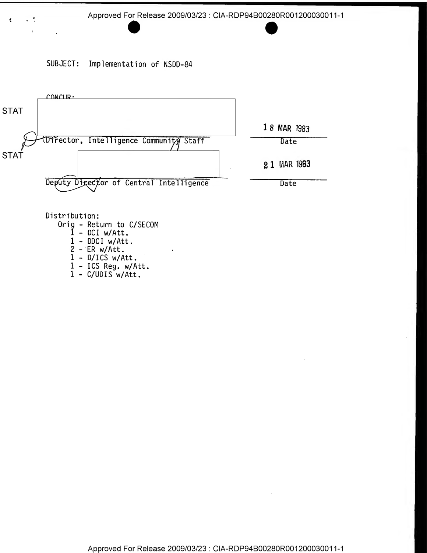SUBJECT: Implementation of NSDD-84

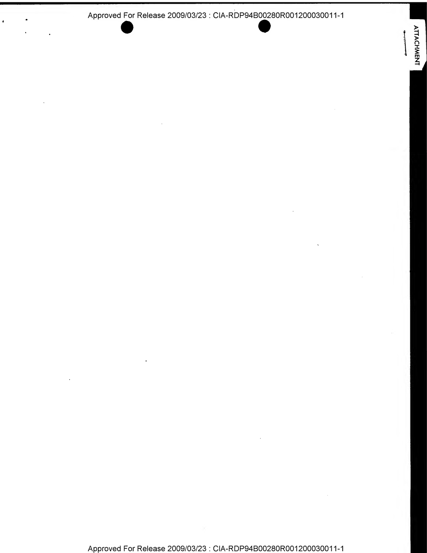$\bullet$ 

**ATTACHMENT**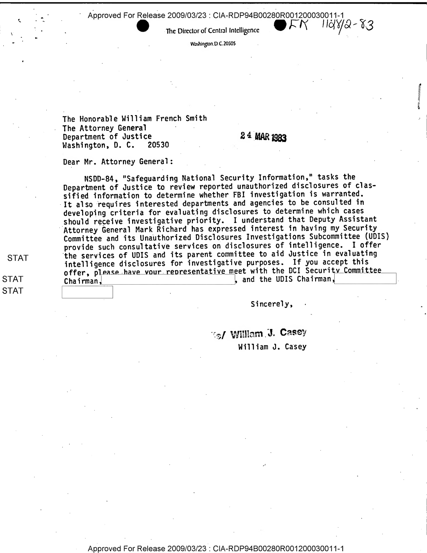Approved For Release 2009/03/23 : CIA-RDP94B00280R001200030011-1<br>Approved For Release 2009/03/23 : CIA-RDP94B00280R001200030011-1  $11\frac{d}{d}$ 8/2 - 8,3

The Director of Central Intelligence

Washington. D. C. 20505

The Honorable William French Smith The Attorney General Department of Justice 24 MAR 1983<br>Washington, D. C. 20530 Washington, D. C.

Dear Mr. Attorney General:

NSDD-84 , "Safeguarding National Security Information," tasks the Department of Justice to review reported unauthorized disclosures of classified information to determine whether FBI investigation is warranted. It also requires interested departments and agencies to be consulted in developing criteria for evaluating disclosures to determine which cases should receive investigative priority. <sup>I</sup> understand that Deputy Assistant Attorney General Mark Richard has expressed interest in having my Security Committee and its Unauthorized Disclosures Investigations Subcommittee (UDIS) provide such consultative services on disclosures of intelligence. <sup>I</sup> offer the services of UDIS and its parent committee to aid Justice in evaluating intelligence disclosures for investigative purposes. If you accept this offer, please have vour representative meet with the DCI Security Committee  $\qquad \qquad$ Chairman, , and the UDIS Chairman,

Sincerely,

• // William J. Casey William J. Casey

STAT

STAT STAT

Approved For Release 2009/03/23 : CIA-RDP94B00280R001200030011-1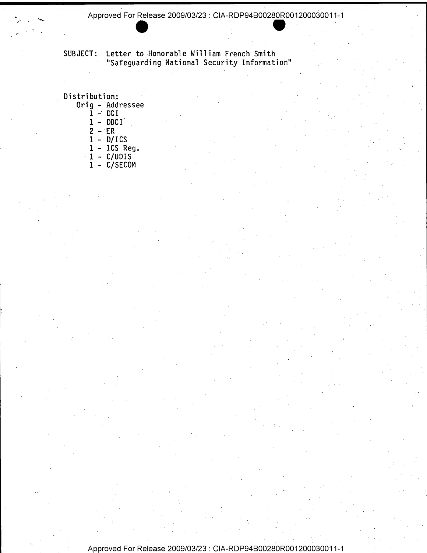SUBJECT: Letter to Honorable William French Smith "Safeguarding National Security Information"

Distribution: Orig - Addressee  $1 - DCI$  $1 - DDCI$  $\overline{2}$  - ER  $1 - D/ICS$ 1 - ICS Reg. <sup>1</sup> - C/UDIS

1 - C/SECOM

Approved For Release 2009/03/23 : CIA-RDP94B00280R001 20003001 1-1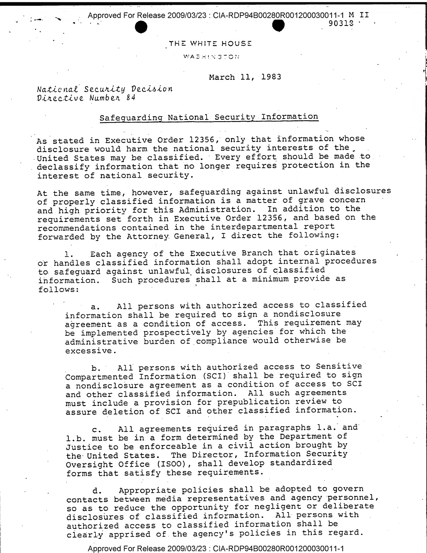THE WHITE HOUSE

**WASHINGTON** 

March 11, 1983

90313

National Security Decision Directive Number 84

## Safeguarding National Security Information

As stated in Executive Order 12356, only that information whose disclosure would harm the national security interests of the United States may be classified. Every effort should be made to declassify information that no longer requires protection in the interest of national security.

At the same time, however, safeguarding against unlawful disclosures of properly classified information is <sup>a</sup> matter of grave concern and high priority for this Administration. In addition to the requirements set forth in Executive Order 12356, and based on the recommendations contained in the interdepartmental report forwarded by the Attorney General, <sup>I</sup> direct the following:

1. Each agency of the Executive Branch that originates or handles classified information shall adopt internal procedures to safeguard against unlawful, disclosures of classified information. Such procedures' shall at <sup>a</sup> minimum provide as follows:

a. All persons with authorized access to classified information shall be required to sign <sup>a</sup> nondisclosure agreement as <sup>a</sup> condition of access. This requirement may be implemented prospectively by agencies for which the administrative burden of compliance would otherwise be excessive.

b. All persons with authorized access to Sensitive Compartmented Information (SCI) shall be required to sign a nondisclosure agreement as <sup>a</sup> condition of access to SCI and other classified information. All such agreements must include <sup>a</sup> provision for prepublication review to assure deletion of SCI and other classified information.

c. All agreements required in paragraphs l.a. and l.b. must be in <sup>a</sup> form determined by the Department of Justice to be enforceable in <sup>a</sup> civil action brought by the United States. The Director, Information Security Oversight Office (ISOO) , shall develop standardized forms that satisfy these requirements.

d. Appropriate policies shall be adopted to govern contacts between media representatives and agency personnel, so as to reduce the opportunity for negligent or deliberate disclosures of classified information. All persons with authorized access to classified information shall be clearly apprised of the agency's policies in this regard.

Approved For Release 2009/03/23 : CIA-RDP94B00280R001200030011-1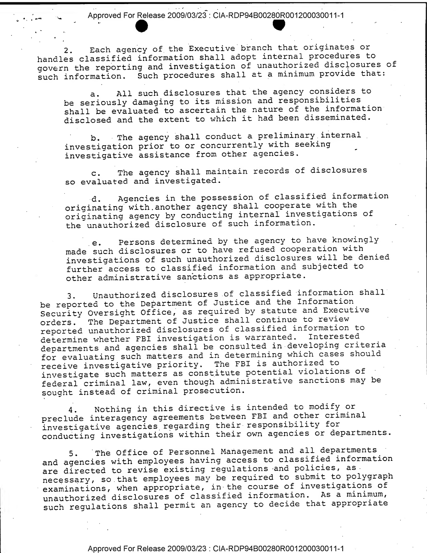2.

Each agency of the Executive branch that originates or 2. Each agency of the Executive branch that offendies of<br>handles classified information shall adopt internal procedures to govern the reporting and investigation of unauthorized disclosures of such information. Such procedures shall at a minimum provide that:

a. All such disclosures that the agency considers to be seriously damaging to its mission and responsibilities shall be evaluated to ascertain the nature of the information disclosed and the extent to which it had been disseminated.

b. The agency shall conduct a preliminary internal investigation prior to or concurrently with seeking investigative assistance from other agencies.

c. The agency shall maintain records of disclosures so evaluated and investigated.

d. Agencies in the possession of classified information originating with. another agency shall cooperate with the originating agency by conducting internal investigations of the unauthorized disclosure of such information.

e. Persons determined by the agency to have knowingly made such disclosures or to have refused cooperation with investigations of such unauthorized disclosures will he denied further access to classified information and subjected to other administrative sanctions as appropriate

3. Unauthorized disclosures of classified information shall be reported to the Department of Justice and the Information Security Oversight Office, as required by statute and Executive orders. The Department of Justice shall continue to review reported unauthorized disclosures of classified information to determine whether FBI investigation is warranted. Interested departments and agencies shall be consulted in developing criteria for evaluating such matters and in determining which cases should receive investigative priority. The FBI is authorized to investigate such matters as constitute potential violations of federal criminal law, even though administrative sanctions may be sought instead of criminal prosecution.

4. Nothing in this directive is intended to modify or preclude interagency agreements between FBI and other criminal investigative agencies regarding their responsibility for conducting investigations within their own agencies or departments.

5. The Office of Personnel Management and all departments, and agencies with employees having access to classified information are directed to revise existing regulations and policies, as necessary, so that employees may be required to submit to polygraph examinations, when appropriate, in the course of investigations of unauthorized disclosures of classified information. As <sup>a</sup> minimum, such regulations shall permit an agency to decide that appropriate